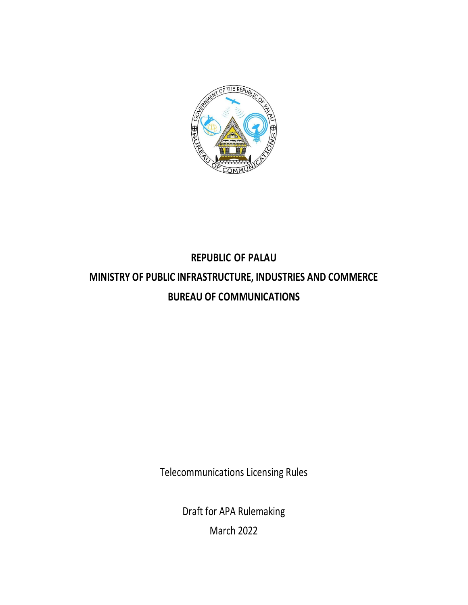

# **REPUBLIC OF PALAU MINISTRY OF PUBLIC INFRASTRUCTURE, INDUSTRIES AND COMMERCE BUREAU OF COMMUNICATIONS**

Telecommunications Licensing Rules

Draft for APA Rulemaking March 2022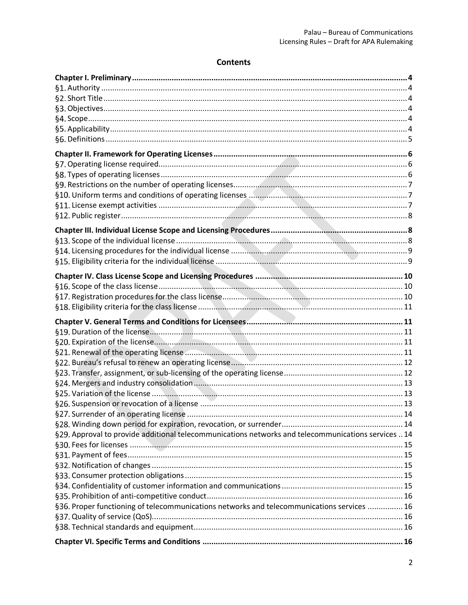## **Contents**

| §29. Approval to provide additional telecommunications networks and telecommunications services  14 |  |
|-----------------------------------------------------------------------------------------------------|--|
|                                                                                                     |  |
|                                                                                                     |  |
|                                                                                                     |  |
|                                                                                                     |  |
|                                                                                                     |  |
|                                                                                                     |  |
| §36. Proper functioning of telecommunications networks and telecommunications services  16          |  |
|                                                                                                     |  |
|                                                                                                     |  |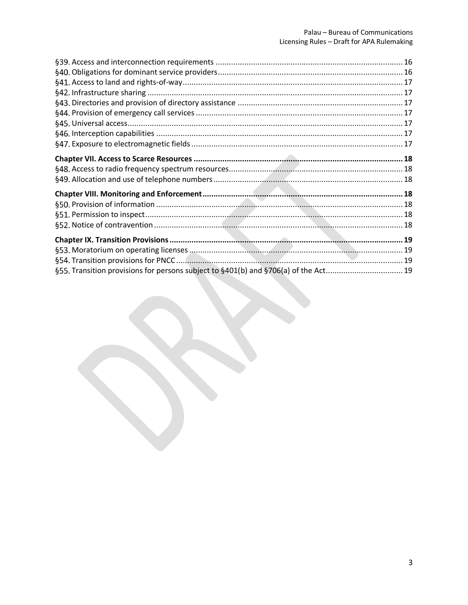| §55. Transition provisions for persons subject to §401(b) and §706(a) of the Act 19 |  |
|-------------------------------------------------------------------------------------|--|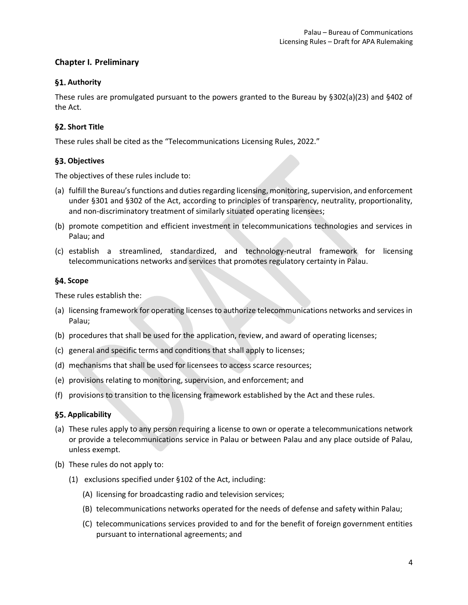## <span id="page-3-0"></span>**Chapter I. Preliminary**

## <span id="page-3-1"></span>§1. Authority

These rules are promulgated pursuant to the powers granted to the Bureau by §302(a)(23) and §402 of the Act.

## <span id="page-3-2"></span>§2. Short Title

These rules shall be cited as the "Telecommunications Licensing Rules, 2022."

## <span id="page-3-3"></span>**Objectives**

The objectives of these rules include to:

- (a) fulfill the Bureau's functions and duties regarding licensing, monitoring, supervision, and enforcement under §301 and §302 of the Act, according to principles of transparency, neutrality, proportionality, and non-discriminatory treatment of similarly situated operating licensees;
- (b) promote competition and efficient investment in telecommunications technologies and services in Palau; and
- (c) establish a streamlined, standardized, and technology-neutral framework for licensing telecommunications networks and services that promotes regulatory certainty in Palau.

## <span id="page-3-4"></span>§4. Scope

These rules establish the:

- (a) licensing framework for operating licenses to authorize telecommunications networks and services in Palau;
- (b) procedures that shall be used for the application, review, and award of operating licenses;
- (c) general and specific terms and conditions that shall apply to licenses;
- (d) mechanisms that shall be used for licensees to access scarce resources;
- (e) provisions relating to monitoring, supervision, and enforcement; and
- (f) provisions to transition to the licensing framework established by the Act and these rules.

## <span id="page-3-5"></span>**Applicability**

- (a) These rules apply to any person requiring a license to own or operate a telecommunications network or provide a telecommunications service in Palau or between Palau and any place outside of Palau, unless exempt.
- (b) These rules do not apply to:
	- (1) exclusions specified under §102 of the Act, including:
		- (A) licensing for broadcasting radio and television services;
		- (B) telecommunications networks operated for the needs of defense and safety within Palau;
		- (C) telecommunications services provided to and for the benefit of foreign government entities pursuant to international agreements; and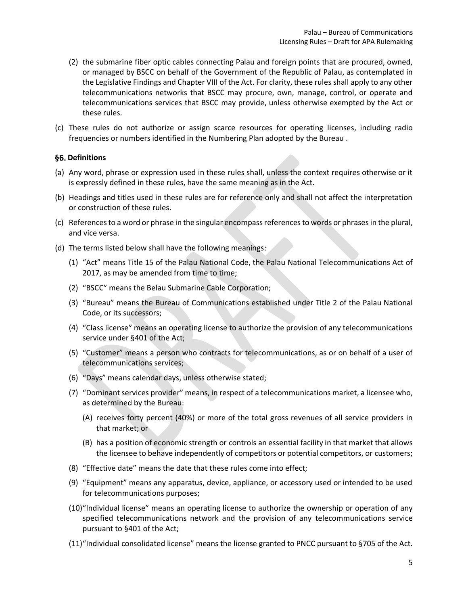- <span id="page-4-1"></span>(2) the submarine fiber optic cables connecting Palau and foreign points that are procured, owned, or managed by BSCC on behalf of the Government of the Republic of Palau, as contemplated in the Legislative Findings and Chapter VIII of the Act. For clarity, these rules shall apply to any other telecommunications networks that BSCC may procure, own, manage, control, or operate and telecommunications services that BSCC may provide, unless otherwise exempted by the Act or these rules.
- (c) These rules do not authorize or assign scarce resources for operating licenses, including radio frequencies or numbers identified in the Numbering Plan adopted by the Bureau .

## <span id="page-4-0"></span>**§6. Definitions**

- (a) Any word, phrase or expression used in these rules shall, unless the context requires otherwise or it is expressly defined in these rules, have the same meaning as in the Act.
- (b) Headings and titles used in these rules are for reference only and shall not affect the interpretation or construction of these rules.
- (c) References to a word or phrase in the singular encompass references to words or phrases in the plural, and vice versa.
- (d) The terms listed below shall have the following meanings:
	- (1) "Act" means Title 15 of the Palau National Code, the Palau National Telecommunications Act of 2017, as may be amended from time to time;
	- (2) "BSCC" means the Belau Submarine Cable Corporation;
	- (3) "Bureau" means the Bureau of Communications established under Title 2 of the Palau National Code, or its successors;
	- (4) "Class license" means an operating license to authorize the provision of any telecommunications service under §401 of the Act;
	- (5) "Customer" means a person who contracts for telecommunications, as or on behalf of a user of telecommunications services;
	- (6) "Days" means calendar days, unless otherwise stated;
	- (7) "Dominant services provider" means, in respect of a telecommunications market, a licensee who, as determined by the Bureau:
		- (A) receives forty percent (40%) or more of the total gross revenues of all service providers in that market; or
		- (B) has a position of economic strength or controls an essential facility in that market that allows the licensee to behave independently of competitors or potential competitors, or customers;
	- (8) "Effective date" means the date that these rules come into effect;
	- (9) "Equipment" means any apparatus, device, appliance, or accessory used or intended to be used for telecommunications purposes;
	- (10)"Individual license" means an operating license to authorize the ownership or operation of any specified telecommunications network and the provision of any telecommunications service pursuant to §401 of the Act;
	- (11)"Individual consolidated license" means the license granted to PNCC pursuant to §705 of the Act.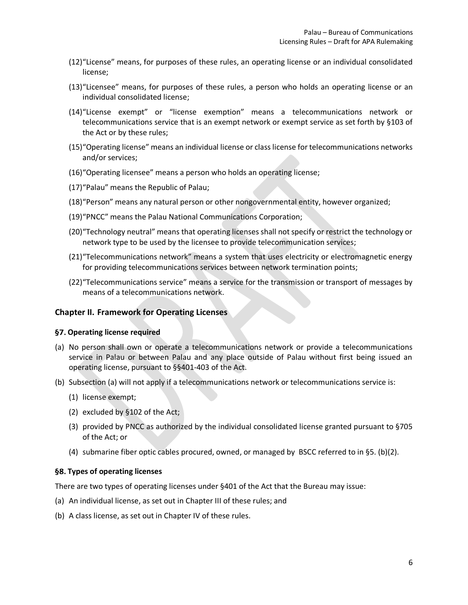- (12)"License" means, for purposes of these rules, an operating license or an individual consolidated license;
- (13)"Licensee" means, for purposes of these rules, a person who holds an operating license or an individual consolidated license;
- (14)"License exempt" or "license exemption" means a telecommunications network or telecommunications service that is an exempt network or exempt service as set forth by §103 of the Act or by these rules;
- (15)"Operating license" means an individual license or class license for telecommunications networks and/or services;
- (16)"Operating licensee" means a person who holds an operating license;
- (17)"Palau" means the Republic of Palau;
- (18)"Person" means any natural person or other nongovernmental entity, however organized;
- (19)"PNCC" means the Palau National Communications Corporation;
- (20)"Technology neutral" means that operating licenses shall not specify or restrict the technology or network type to be used by the licensee to provide telecommunication services;
- (21)"Telecommunications network" means a system that uses electricity or electromagnetic energy for providing telecommunications services between network termination points;
- (22)"Telecommunications service" means a service for the transmission or transport of messages by means of a telecommunications network.

## <span id="page-5-0"></span>**Chapter II. Framework for Operating Licenses**

#### <span id="page-5-1"></span>**Operating license required**

- (a) No person shall own or operate a telecommunications network or provide a telecommunications service in Palau or between Palau and any place outside of Palau without first being issued an operating license, pursuant to §§401-403 of the Act.
- (b) Subsection (a) will not apply if a telecommunications network or telecommunications service is:
	- (1) license exempt;
	- (2) excluded by §102 of the Act;
	- (3) provided by PNCC as authorized by the individual consolidated license granted pursuant to §705 of the Act; or
	- (4) submarine fiber optic cables procured, owned, or managed by BSCC referred to i[n §5. \(](#page-3-5)b[\)\(2\).](#page-4-1)

#### <span id="page-5-2"></span>**Types of operating licenses**

There are two types of operating licenses under §401 of the Act that the Bureau may issue:

- (a) An individual license, as set out in [Chapter III](#page-7-1) of these rules; and
- (b) A class license, as set out in [Chapter IV](#page-9-0) of these rules.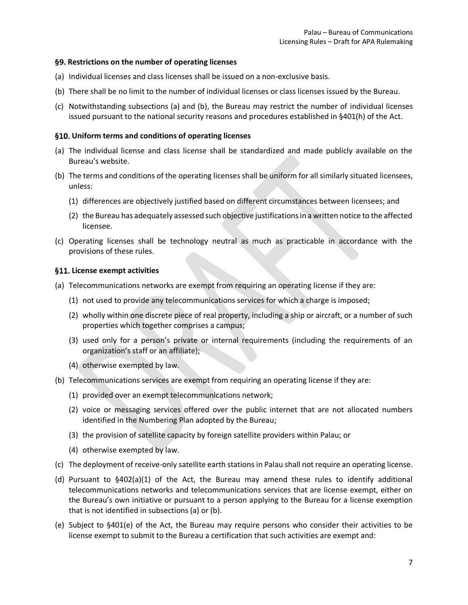## <span id="page-6-0"></span>**Restrictions on the number of operating licenses**

- (a) Individual licenses and class licenses shall be issued on a non-exclusive basis.
- (b) There shall be no limit to the number of individual licenses or class licenses issued by the Bureau.
- (c) Notwithstanding subsections (a) and (b), the Bureau may restrict the number of individual licenses issued pursuant to the national security reasons and procedures established in §401(h) of the Act.

## <span id="page-6-1"></span>**Uniform terms and conditions of operating licenses**

- (a) The individual license and class license shall be standardized and made publicly available on the Bureau's website.
- (b) The terms and conditions of the operating licenses shall be uniform for all similarly situated licensees, unless:
	- (1) differences are objectively justified based on different circumstances between licensees; and
	- (2) the Bureau has adequately assessed such objective justifications in a written notice to the affected licensee.
- (c) Operating licenses shall be technology neutral as much as practicable in accordance with the provisions of these rules.

## <span id="page-6-2"></span>**License exempt activities**

- (a) Telecommunications networks are exempt from requiring an operating license if they are:
	- (1) not used to provide any telecommunications services for which a charge is imposed;
	- (2) wholly within one discrete piece of real property, including a ship or aircraft, or a number of such properties which together comprises a campus;
	- (3) used only for a person's private or internal requirements (including the requirements of an organization's staff or an affiliate);
	- (4) otherwise exempted by law.
- (b) Telecommunications services are exempt from requiring an operating license if they are:
	- (1) provided over an exempt telecommunications network;
	- (2) voice or messaging services offered over the public internet that are not allocated numbers identified in the Numbering Plan adopted by the Bureau;
	- (3) the provision of satellite capacity by foreign satellite providers within Palau; or
	- (4) otherwise exempted by law.
- (c) The deployment of receive-only satellite earth stations in Palau shall not require an operating license.
- (d) Pursuant to  $\S402(a)(1)$  of the Act, the Bureau may amend these rules to identify additional telecommunications networks and telecommunications services that are license exempt, either on the Bureau's own initiative or pursuant to a person applying to the Bureau for a license exemption that is not identified in subsections (a) or (b).
- (e) Subject to §401(e) of the Act, the Bureau may require persons who consider their activities to be license exempt to submit to the Bureau a certification that such activities are exempt and: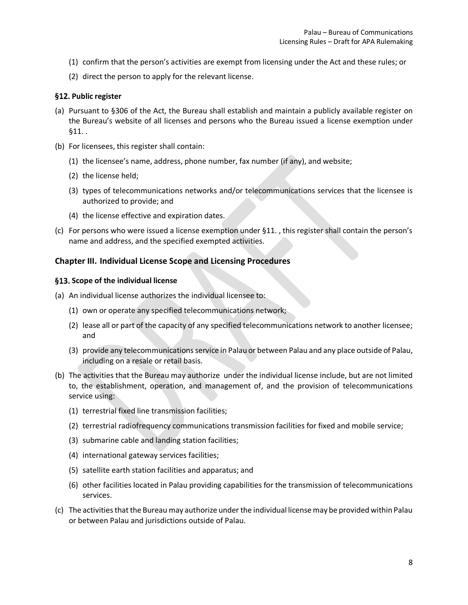- (1) confirm that the person's activities are exempt from licensing under the Act and these rules; or
- (2) direct the person to apply for the relevant license.

## <span id="page-7-0"></span>§12. Public register

- (a) Pursuant to §306 of the Act, the Bureau shall establish and maintain a publicly available register on the Bureau's website of all licenses and persons who the Bureau issued a license exemption under [§11. .](#page-6-2)
- (b) For licensees, this register shall contain:
	- (1) the licensee's name, address, phone number, fax number (if any), and website;
	- (2) the license held;
	- (3) types of telecommunications networks and/or telecommunications services that the licensee is authorized to provide; and
	- (4) the license effective and expiration dates.
- (c) For persons who were issued a license exemption under [§11. ,](#page-6-2) this register shall contain the person's name and address, and the specified exempted activities.

## <span id="page-7-1"></span>**Chapter III. Individual License Scope and Licensing Procedures**

#### <span id="page-7-2"></span>**Scope of the individual license**

- (a) An individual license authorizes the individual licensee to:
	- (1) own or operate any specified telecommunications network;
	- (2) lease all or part of the capacity of any specified telecommunications network to another licensee; and
	- (3) provide any telecommunications service in Palau or between Palau and any place outside of Palau, including on a resale or retail basis.
- (b) The activities that the Bureau may authorize under the individual license include, but are not limited to, the establishment, operation, and management of, and the provision of telecommunications service using:
	- (1) terrestrial fixed line transmission facilities;
	- (2) terrestrial radiofrequency communications transmission facilities for fixed and mobile service;
	- (3) submarine cable and landing station facilities;
	- (4) international gateway services facilities;
	- (5) satellite earth station facilities and apparatus; and
	- (6) other facilities located in Palau providing capabilities for the transmission of telecommunications services.
- (c) The activities that the Bureau may authorize under the individual license may be provided within Palau or between Palau and jurisdictions outside of Palau.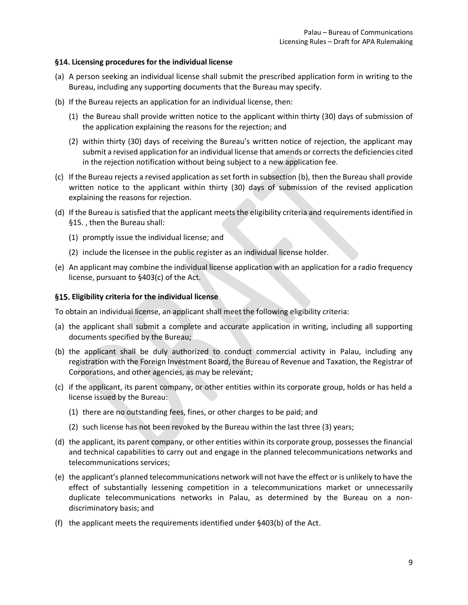## <span id="page-8-0"></span>**Licensing procedures for the individual license**

- (a) A person seeking an individual license shall submit the prescribed application form in writing to the Bureau, including any supporting documents that the Bureau may specify.
- (b) If the Bureau rejects an application for an individual license, then:
	- (1) the Bureau shall provide written notice to the applicant within thirty (30) days of submission of the application explaining the reasons for the rejection; and
	- (2) within thirty (30) days of receiving the Bureau's written notice of rejection, the applicant may submit a revised application for an individual license that amends or corrects the deficiencies cited in the rejection notification without being subject to a new application fee.
- (c) If the Bureau rejects a revised application as set forth in subsection (b), then the Bureau shall provide written notice to the applicant within thirty (30) days of submission of the revised application explaining the reasons for rejection.
- (d) If the Bureau is satisfied that the applicant meets the eligibility criteria and requirements identified in [§15. ,](#page-8-1) then the Bureau shall:
	- (1) promptly issue the individual license; and
	- (2) include the licensee in the public register as an individual license holder.
- (e) An applicant may combine the individual license application with an application for a radio frequency license, pursuant to §403(c) of the Act.

## <span id="page-8-1"></span>**Eligibility criteria for the individual license**

To obtain an individual license, an applicant shall meet the following eligibility criteria:

- (a) the applicant shall submit a complete and accurate application in writing, including all supporting documents specified by the Bureau;
- (b) the applicant shall be duly authorized to conduct commercial activity in Palau, including any registration with the Foreign Investment Board, the Bureau of Revenue and Taxation, the Registrar of Corporations, and other agencies, as may be relevant;
- (c) if the applicant, its parent company, or other entities within its corporate group, holds or has held a license issued by the Bureau:
	- (1) there are no outstanding fees, fines, or other charges to be paid; and
	- (2) such license has not been revoked by the Bureau within the last three (3) years;
- (d) the applicant, its parent company, or other entities within its corporate group, possesses the financial and technical capabilities to carry out and engage in the planned telecommunications networks and telecommunications services;
- (e) the applicant's planned telecommunications network will not have the effect or is unlikely to have the effect of substantially lessening competition in a telecommunications market or unnecessarily duplicate telecommunications networks in Palau, as determined by the Bureau on a nondiscriminatory basis; and
- (f) the applicant meets the requirements identified under §403(b) of the Act.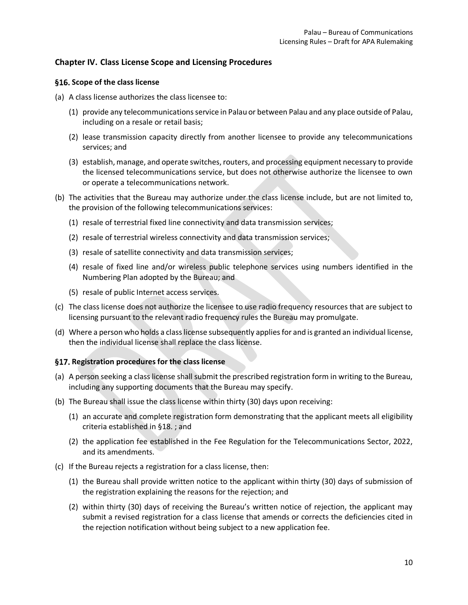## <span id="page-9-0"></span>**Chapter IV. Class License Scope and Licensing Procedures**

## <span id="page-9-1"></span>**Scope of the class license**

- (a) A class license authorizes the class licensee to:
	- (1) provide any telecommunications service in Palau or between Palau and any place outside of Palau, including on a resale or retail basis;
	- (2) lease transmission capacity directly from another licensee to provide any telecommunications services; and
	- (3) establish, manage, and operate switches, routers, and processing equipment necessary to provide the licensed telecommunications service, but does not otherwise authorize the licensee to own or operate a telecommunications network.
- (b) The activities that the Bureau may authorize under the class license include, but are not limited to, the provision of the following telecommunications services:
	- (1) resale of terrestrial fixed line connectivity and data transmission services;
	- (2) resale of terrestrial wireless connectivity and data transmission services;
	- (3) resale of satellite connectivity and data transmission services;
	- (4) resale of fixed line and/or wireless public telephone services using numbers identified in the Numbering Plan adopted by the Bureau; and
	- (5) resale of public Internet access services.
- (c) The class license does not authorize the licensee to use radio frequency resources that are subject to licensing pursuant to the relevant radio frequency rules the Bureau may promulgate.
- (d) Where a person who holds a class license subsequently applies for and is granted an individual license, then the individual license shall replace the class license.

## <span id="page-9-2"></span>**Registration procedures for the class license**

- (a) A person seeking a class license shall submit the prescribed registration form in writing to the Bureau, including any supporting documents that the Bureau may specify.
- (b) The Bureau shall issue the class license within thirty (30) days upon receiving:
	- (1) an accurate and complete registration form demonstrating that the applicant meets all eligibility criteria established i[n §18. ;](#page-10-0) and
	- (2) the application fee established in the Fee Regulation for the Telecommunications Sector, 2022, and its amendments.
- (c) If the Bureau rejects a registration for a class license, then:
	- (1) the Bureau shall provide written notice to the applicant within thirty (30) days of submission of the registration explaining the reasons for the rejection; and
	- (2) within thirty (30) days of receiving the Bureau's written notice of rejection, the applicant may submit a revised registration for a class license that amends or corrects the deficiencies cited in the rejection notification without being subject to a new application fee.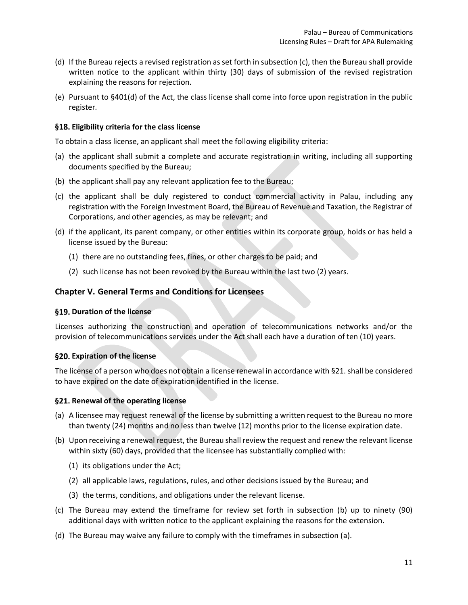- (d) If the Bureau rejects a revised registration as set forth in subsection (c), then the Bureau shall provide written notice to the applicant within thirty (30) days of submission of the revised registration explaining the reasons for rejection.
- (e) Pursuant to §401(d) of the Act, the class license shall come into force upon registration in the public register.

## <span id="page-10-0"></span>**Eligibility criteria for the class license**

To obtain a class license, an applicant shall meet the following eligibility criteria:

- (a) the applicant shall submit a complete and accurate registration in writing, including all supporting documents specified by the Bureau;
- (b) the applicant shall pay any relevant application fee to the Bureau;
- (c) the applicant shall be duly registered to conduct commercial activity in Palau, including any registration with the Foreign Investment Board, the Bureau of Revenue and Taxation, the Registrar of Corporations, and other agencies, as may be relevant; and
- (d) if the applicant, its parent company, or other entities within its corporate group, holds or has held a license issued by the Bureau:
	- (1) there are no outstanding fees, fines, or other charges to be paid; and
	- (2) such license has not been revoked by the Bureau within the last two (2) years.

## <span id="page-10-1"></span>**Chapter V. General Terms and Conditions for Licensees**

#### <span id="page-10-2"></span>§19. Duration of the license

Licenses authorizing the construction and operation of telecommunications networks and/or the provision of telecommunications services under the Act shall each have a duration of ten (10) years.

#### <span id="page-10-3"></span>**Expiration of the license**

The license of a person who does not obtain a license renewal in accordance wit[h §21. s](#page-10-4)hall be considered to have expired on the date of expiration identified in the license.

#### <span id="page-10-4"></span>**Renewal of the operating license**

- (a) A licensee may request renewal of the license by submitting a written request to the Bureau no more than twenty (24) months and no less than twelve (12) months prior to the license expiration date.
- (b) Upon receiving a renewal request, the Bureau shall review the request and renew the relevant license within sixty (60) days, provided that the licensee has substantially complied with:
	- (1) its obligations under the Act;
	- (2) all applicable laws, regulations, rules, and other decisions issued by the Bureau; and
	- (3) the terms, conditions, and obligations under the relevant license.
- (c) The Bureau may extend the timeframe for review set forth in subsection (b) up to ninety (90) additional days with written notice to the applicant explaining the reasons for the extension.
- (d) The Bureau may waive any failure to comply with the timeframes in subsection (a).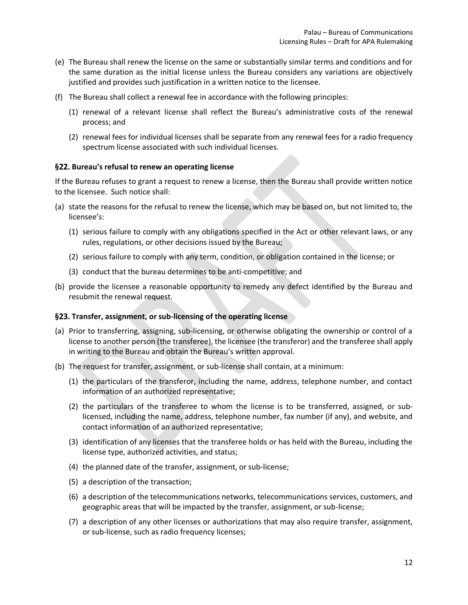- (e) The Bureau shall renew the license on the same or substantially similar terms and conditions and for the same duration as the initial license unless the Bureau considers any variations are objectively justified and provides such justification in a written notice to the licensee.
- (f) The Bureau shall collect a renewal fee in accordance with the following principles:
	- (1) renewal of a relevant license shall reflect the Bureau's administrative costs of the renewal process; and
	- (2) renewal fees for individual licenses shall be separate from any renewal fees for a radio frequency spectrum license associated with such individual licenses.

## <span id="page-11-0"></span>**Bureau's refusal to renew an operating license**

If the Bureau refuses to grant a request to renew a license, then the Bureau shall provide written notice to the licensee. Such notice shall:

- (a) state the reasons for the refusal to renew the license, which may be based on, but not limited to, the licensee's:
	- (1) serious failure to comply with any obligations specified in the Act or other relevant laws, or any rules, regulations, or other decisions issued by the Bureau;
	- (2) serious failure to comply with any term, condition, or obligation contained in the license; or
	- (3) conduct that the bureau determines to be anti-competitive; and
- (b) provide the licensee a reasonable opportunity to remedy any defect identified by the Bureau and resubmit the renewal request.

#### <span id="page-11-1"></span>**Transfer, assignment, or sub-licensing of the operating license**

- (a) Prior to transferring, assigning, sub-licensing, or otherwise obligating the ownership or control of a license to another person (the transferee), the licensee (the transferor) and the transferee shall apply in writing to the Bureau and obtain the Bureau's written approval.
- (b) The request for transfer, assignment, or sub-license shall contain, at a minimum:
	- (1) the particulars of the transferor, including the name, address, telephone number, and contact information of an authorized representative;
	- (2) the particulars of the transferee to whom the license is to be transferred, assigned, or sublicensed, including the name, address, telephone number, fax number (if any), and website, and contact information of an authorized representative;
	- (3) identification of any licenses that the transferee holds or has held with the Bureau, including the license type, authorized activities, and status;
	- (4) the planned date of the transfer, assignment, or sub-license;
	- (5) a description of the transaction;
	- (6) a description of the telecommunications networks, telecommunications services, customers, and geographic areas that will be impacted by the transfer, assignment, or sub-license;
	- (7) a description of any other licenses or authorizations that may also require transfer, assignment, or sub-license, such as radio frequency licenses;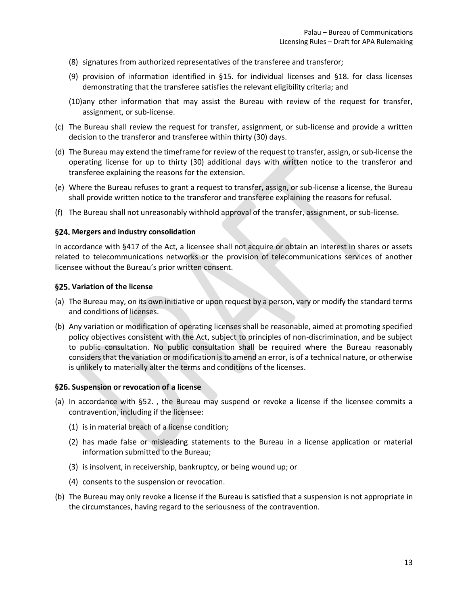- (8) signatures from authorized representatives of the transferee and transferor;
- (9) provision of information identified in [§15. f](#page-8-1)or individual licenses and [§18. f](#page-10-0)or class licenses demonstrating that the transferee satisfies the relevant eligibility criteria; and
- (10)any other information that may assist the Bureau with review of the request for transfer, assignment, or sub-license.
- (c) The Bureau shall review the request for transfer, assignment, or sub-license and provide a written decision to the transferor and transferee within thirty (30) days.
- (d) The Bureau may extend the timeframe for review of the request to transfer, assign, or sub-license the operating license for up to thirty (30) additional days with written notice to the transferor and transferee explaining the reasons for the extension.
- (e) Where the Bureau refuses to grant a request to transfer, assign, or sub-license a license, the Bureau shall provide written notice to the transferor and transferee explaining the reasons for refusal.
- (f) The Bureau shall not unreasonably withhold approval of the transfer, assignment, or sub-license.

## <span id="page-12-0"></span>**Mergers and industry consolidation**

In accordance with §417 of the Act, a licensee shall not acquire or obtain an interest in shares or assets related to telecommunications networks or the provision of telecommunications services of another licensee without the Bureau's prior written consent.

#### <span id="page-12-1"></span>**Variation of the license**

- (a) The Bureau may, on its own initiative or upon request by a person, vary or modify the standard terms and conditions of licenses.
- (b) Any variation or modification of operating licenses shall be reasonable, aimed at promoting specified policy objectives consistent with the Act, subject to principles of non-discrimination, and be subject to public consultation. No public consultation shall be required where the Bureau reasonably considers that the variation or modification is to amend an error, is of a technical nature, or otherwise is unlikely to materially alter the terms and conditions of the licenses.

#### <span id="page-12-2"></span>**Suspension or revocation of a license**

- (a) In accordance with  $\S 52$ ., the Bureau may suspend or revoke a license if the licensee commits a contravention, including if the licensee:
	- (1) is in material breach of a license condition;
	- (2) has made false or misleading statements to the Bureau in a license application or material information submitted to the Bureau;
	- (3) is insolvent, in receivership, bankruptcy, or being wound up; or
	- (4) consents to the suspension or revocation.
- (b) The Bureau may only revoke a license if the Bureau is satisfied that a suspension is not appropriate in the circumstances, having regard to the seriousness of the contravention.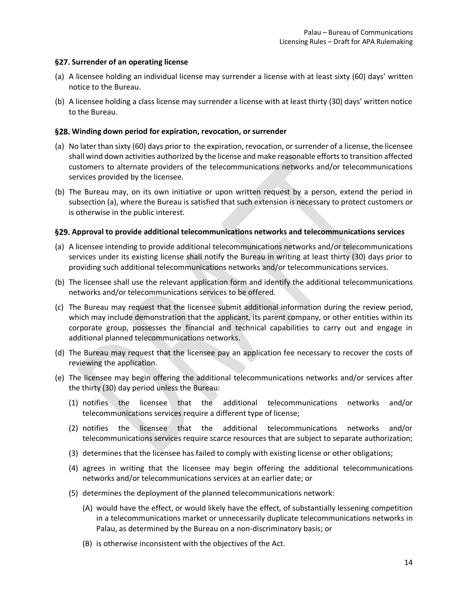## <span id="page-13-0"></span>**§27. Surrender of an operating license**

- (a) A licensee holding an individual license may surrender a license with at least sixty (60) days' written notice to the Bureau.
- (b) A licensee holding a class license may surrender a license with at least thirty (30) days' written notice to the Bureau.

## <span id="page-13-1"></span>**Winding down period for expiration, revocation, or surrender**

- (a) No later than sixty (60) days prior to the expiration, revocation, or surrender of a license, the licensee shall wind down activities authorized by the license and make reasonable efforts to transition affected customers to alternate providers of the telecommunications networks and/or telecommunications services provided by the licensee.
- (b) The Bureau may, on its own initiative or upon written request by a person, extend the period in subsection (a), where the Bureau is satisfied that such extension is necessary to protect customers or is otherwise in the public interest.

## <span id="page-13-2"></span>**Approval to provide additional telecommunications networks and telecommunications services**

- (a) A licensee intending to provide additional telecommunications networks and/or telecommunications services under its existing license shall notify the Bureau in writing at least thirty (30) days prior to providing such additional telecommunications networks and/or telecommunications services.
- (b) The licensee shall use the relevant application form and identify the additional telecommunications networks and/or telecommunications services to be offered.
- (c) The Bureau may request that the licensee submit additional information during the review period, which may include demonstration that the applicant, its parent company, or other entities within its corporate group, possesses the financial and technical capabilities to carry out and engage in additional planned telecommunications networks.
- (d) The Bureau may request that the licensee pay an application fee necessary to recover the costs of reviewing the application.
- (e) The licensee may begin offering the additional telecommunications networks and/or services after the thirty (30) day period unless the Bureau:
	- (1) notifies the licensee that the additional telecommunications networks and/or telecommunications services require a different type of license;
	- (2) notifies the licensee that the additional telecommunications networks and/or telecommunications services require scarce resources that are subject to separate authorization;
	- (3) determines that the licensee has failed to comply with existing license or other obligations;
	- (4) agrees in writing that the licensee may begin offering the additional telecommunications networks and/or telecommunications services at an earlier date; or
	- (5) determines the deployment of the planned telecommunications network:
		- (A) would have the effect, or would likely have the effect, of substantially lessening competition in a telecommunications market or unnecessarily duplicate telecommunications networks in Palau, as determined by the Bureau on a non-discriminatory basis; or
		- (B) is otherwise inconsistent with the objectives of the Act.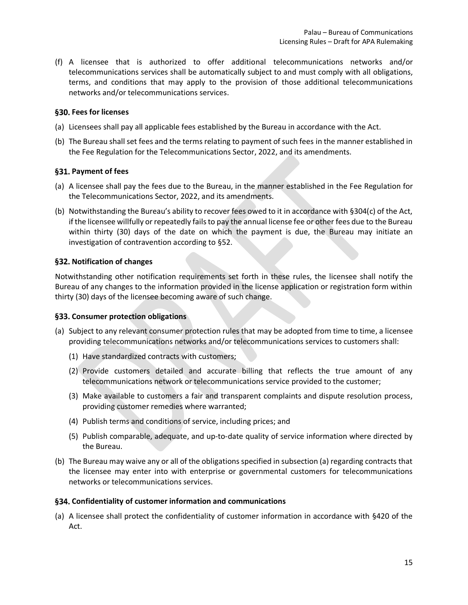(f) A licensee that is authorized to offer additional telecommunications networks and/or telecommunications services shall be automatically subject to and must comply with all obligations, terms, and conditions that may apply to the provision of those additional telecommunications networks and/or telecommunications services.

## <span id="page-14-0"></span>**Fees for licenses**

- (a) Licensees shall pay all applicable fees established by the Bureau in accordance with the Act.
- (b) The Bureau shall set fees and the terms relating to payment of such fees in the manner established in the Fee Regulation for the Telecommunications Sector, 2022, and its amendments.

## <span id="page-14-1"></span>§31. Payment of fees

- (a) A licensee shall pay the fees due to the Bureau, in the manner established in the Fee Regulation for the Telecommunications Sector, 2022, and its amendments.
- (b) Notwithstanding the Bureau's ability to recover fees owed to it in accordance with §304(c) of the Act, if the licensee willfully or repeatedly fails to pay the annual license fee or other fees due to the Bureau within thirty (30) days of the date on which the payment is due, the Bureau may initiate an investigation of contravention according to [§52.](#page-17-6)

## <span id="page-14-2"></span>**Notification of changes**

Notwithstanding other notification requirements set forth in these rules, the licensee shall notify the Bureau of any changes to the information provided in the license application or registration form within thirty (30) days of the licensee becoming aware of such change.

#### <span id="page-14-3"></span>**Consumer protection obligations**

- (a) Subject to any relevant consumer protection rules that may be adopted from time to time, a licensee providing telecommunications networks and/or telecommunications services to customers shall:
	- (1) Have standardized contracts with customers;
	- (2) Provide customers detailed and accurate billing that reflects the true amount of any telecommunications network or telecommunications service provided to the customer;
	- (3) Make available to customers a fair and transparent complaints and dispute resolution process, providing customer remedies where warranted;
	- (4) Publish terms and conditions of service, including prices; and
	- (5) Publish comparable, adequate, and up-to-date quality of service information where directed by the Bureau.
- (b) The Bureau may waive any or all of the obligations specified in subsection (a) regarding contracts that the licensee may enter into with enterprise or governmental customers for telecommunications networks or telecommunications services.

#### <span id="page-14-4"></span>**Confidentiality of customer information and communications**

(a) A licensee shall protect the confidentiality of customer information in accordance with §420 of the Act.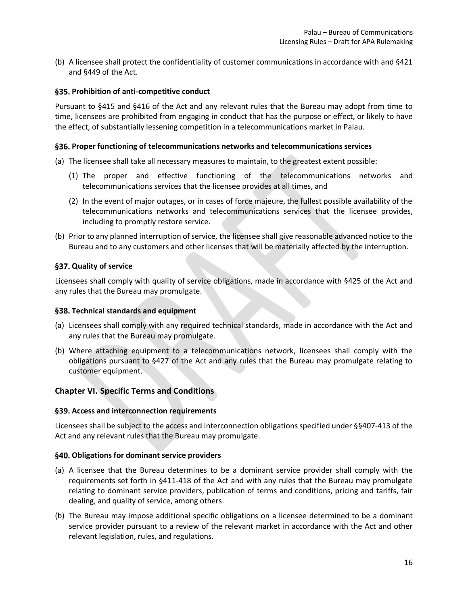(b) A licensee shall protect the confidentiality of customer communications in accordance with and §421 and §449 of the Act.

## <span id="page-15-0"></span>**Prohibition of anti-competitive conduct**

Pursuant to §415 and §416 of the Act and any relevant rules that the Bureau may adopt from time to time, licensees are prohibited from engaging in conduct that has the purpose or effect, or likely to have the effect, of substantially lessening competition in a telecommunications market in Palau.

#### <span id="page-15-1"></span>**Proper functioning of telecommunications networks and telecommunications services**

- (a) The licensee shall take all necessary measures to maintain, to the greatest extent possible:
	- (1) The proper and effective functioning of the telecommunications networks and telecommunications services that the licensee provides at all times, and
	- (2) In the event of major outages, or in cases of force majeure, the fullest possible availability of the telecommunications networks and telecommunications services that the licensee provides, including to promptly restore service.
- (b) Prior to any planned interruption of service, the licensee shall give reasonable advanced notice to the Bureau and to any customers and other licenses that will be materially affected by the interruption.

#### <span id="page-15-2"></span>**Quality of service**

Licensees shall comply with quality of service obligations, made in accordance with §425 of the Act and any rules that the Bureau may promulgate.

#### <span id="page-15-3"></span>**Technical standards and equipment**

- (a) Licensees shall comply with any required technical standards, made in accordance with the Act and any rules that the Bureau may promulgate.
- (b) Where attaching equipment to a telecommunications network, licensees shall comply with the obligations pursuant to §427 of the Act and any rules that the Bureau may promulgate relating to customer equipment.

#### <span id="page-15-4"></span>**Chapter VI. Specific Terms and Conditions**

#### <span id="page-15-5"></span>**Access and interconnection requirements**

Licensees shall be subject to the access and interconnection obligations specified under §§407-413 of the Act and any relevant rules that the Bureau may promulgate.

#### <span id="page-15-6"></span>**Obligations for dominant service providers**

- (a) A licensee that the Bureau determines to be a dominant service provider shall comply with the requirements set forth in §411-418 of the Act and with any rules that the Bureau may promulgate relating to dominant service providers, publication of terms and conditions, pricing and tariffs, fair dealing, and quality of service, among others.
- (b) The Bureau may impose additional specific obligations on a licensee determined to be a dominant service provider pursuant to a review of the relevant market in accordance with the Act and other relevant legislation, rules, and regulations.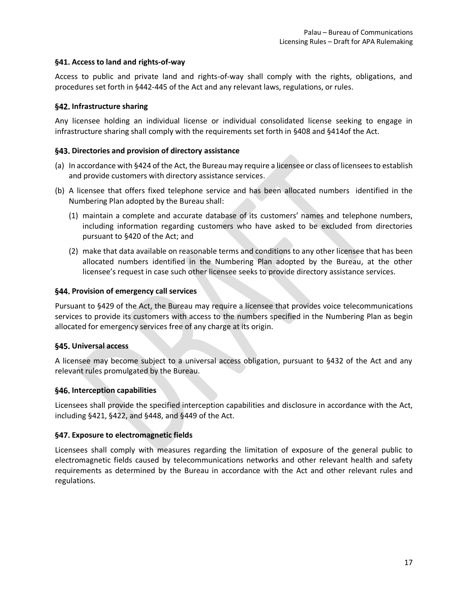## <span id="page-16-0"></span>**Access to land and rights-of-way**

Access to public and private land and rights-of-way shall comply with the rights, obligations, and procedures set forth in §442-445 of the Act and any relevant laws, regulations, or rules.

## <span id="page-16-1"></span>§42. Infrastructure sharing

Any licensee holding an individual license or individual consolidated license seeking to engage in infrastructure sharing shall comply with the requirements set forth in §408 and §414of the Act.

## <span id="page-16-2"></span>§43. Directories and provision of directory assistance

- (a) In accordance with §424 of the Act, the Bureau may require a licensee or class of licensees to establish and provide customers with directory assistance services.
- (b) A licensee that offers fixed telephone service and has been allocated numbers identified in the Numbering Plan adopted by the Bureau shall:
	- (1) maintain a complete and accurate database of its customers' names and telephone numbers, including information regarding customers who have asked to be excluded from directories pursuant to §420 of the Act; and
	- (2) make that data available on reasonable terms and conditions to any other licensee that has been allocated numbers identified in the Numbering Plan adopted by the Bureau, at the other licensee's request in case such other licensee seeks to provide directory assistance services.

## <span id="page-16-3"></span>**Provision of emergency call services**

Pursuant to §429 of the Act, the Bureau may require a licensee that provides voice telecommunications services to provide its customers with access to the numbers specified in the Numbering Plan as begin allocated for emergency services free of any charge at its origin.

#### <span id="page-16-4"></span>**Universal access**

A licensee may become subject to a universal access obligation, pursuant to §432 of the Act and any relevant rules promulgated by the Bureau.

## <span id="page-16-5"></span>**Interception capabilities**

Licensees shall provide the specified interception capabilities and disclosure in accordance with the Act, including §421, §422, and §448, and §449 of the Act.

## <span id="page-16-6"></span>**Exposure to electromagnetic fields**

Licensees shall comply with measures regarding the limitation of exposure of the general public to electromagnetic fields caused by telecommunications networks and other relevant health and safety requirements as determined by the Bureau in accordance with the Act and other relevant rules and regulations.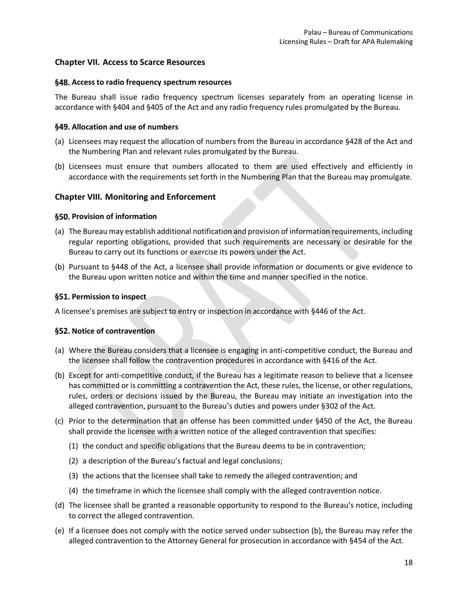## <span id="page-17-0"></span>**Chapter VII. Access to Scarce Resources**

## <span id="page-17-1"></span>**Access to radio frequency spectrum resources**

The Bureau shall issue radio frequency spectrum licenses separately from an operating license in accordance with §404 and §405 of the Act and any radio frequency rules promulgated by the Bureau.

## <span id="page-17-2"></span>**Allocation and use of numbers**

- (a) Licensees may request the allocation of numbers from the Bureau in accordance §428 of the Act and the Numbering Plan and relevant rules promulgated by the Bureau.
- (b) Licensees must ensure that numbers allocated to them are used effectively and efficiently in accordance with the requirements set forth in the Numbering Plan that the Bureau may promulgate.

## <span id="page-17-3"></span>**Chapter VIII. Monitoring and Enforcement**

## <span id="page-17-4"></span>**Provision of information**

- (a) The Bureau may establish additional notification and provision of information requirements, including regular reporting obligations, provided that such requirements are necessary or desirable for the Bureau to carry out its functions or exercise its powers under the Act.
- (b) Pursuant to §448 of the Act, a licensee shall provide information or documents or give evidence to the Bureau upon written notice and within the time and manner specified in the notice.

## <span id="page-17-5"></span>§51. Permission to inspect

A licensee's premises are subject to entry or inspection in accordance with §446 of the Act.

## <span id="page-17-6"></span>§52. Notice of contravention

- (a) Where the Bureau considers that a licensee is engaging in anti-competitive conduct, the Bureau and the licensee shall follow the contravention procedures in accordance with §416 of the Act.
- (b) Except for anti-competitive conduct, if the Bureau has a legitimate reason to believe that a licensee has committed or is committing a contravention the Act, these rules, the license, or other regulations, rules, orders or decisions issued by the Bureau, the Bureau may initiate an investigation into the alleged contravention, pursuant to the Bureau's duties and powers under §302 of the Act.
- (c) Prior to the determination that an offense has been committed under §450 of the Act, the Bureau shall provide the licensee with a written notice of the alleged contravention that specifies:
	- (1) the conduct and specific obligations that the Bureau deems to be in contravention;
	- (2) a description of the Bureau's factual and legal conclusions;
	- (3) the actions that the licensee shall take to remedy the alleged contravention; and
	- (4) the timeframe in which the licensee shall comply with the alleged contravention notice.
- (d) The licensee shall be granted a reasonable opportunity to respond to the Bureau's notice, including to correct the alleged contravention.
- (e) If a licensee does not comply with the notice served under subsection (b), the Bureau may refer the alleged contravention to the Attorney General for prosecution in accordance with §454 of the Act.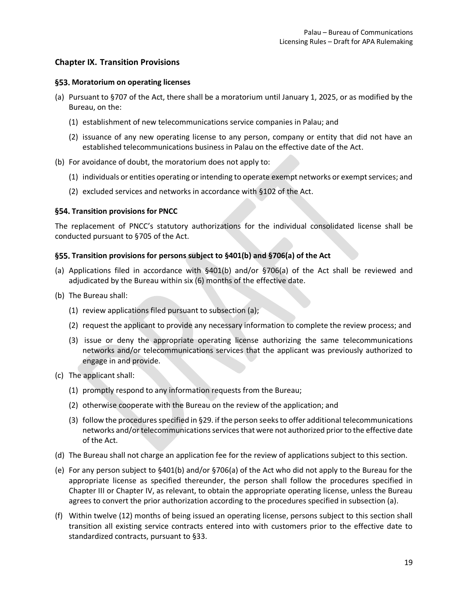## <span id="page-18-0"></span>**Chapter IX. Transition Provisions**

## <span id="page-18-1"></span>**Moratorium on operating licenses**

- (a) Pursuant to §707 of the Act, there shall be a moratorium until January 1, 2025, or as modified by the Bureau, on the:
	- (1) establishment of new telecommunications service companies in Palau; and
	- (2) issuance of any new operating license to any person, company or entity that did not have an established telecommunications business in Palau on the effective date of the Act.
- (b) For avoidance of doubt, the moratorium does not apply to:
	- (1) individuals or entities operating or intending to operate exempt networks or exempt services; and
	- (2) excluded services and networks in accordance with §102 of the Act.

## <span id="page-18-2"></span>**§54. Transition provisions for PNCC**

The replacement of PNCC's statutory authorizations for the individual consolidated license shall be conducted pursuant to §705 of the Act.

## <span id="page-18-3"></span>**Transition provisions for persons subject to §401(b) and §706(a) of the Act**

- (a) Applications filed in accordance with §401(b) and/or §706(a) of the Act shall be reviewed and adjudicated by the Bureau within six (6) months of the effective date.
- (b) The Bureau shall:
	- (1) review applications filed pursuant to subsection (a);
	- (2) request the applicant to provide any necessary information to complete the review process; and
	- (3) issue or deny the appropriate operating license authorizing the same telecommunications networks and/or telecommunications services that the applicant was previously authorized to engage in and provide.
- (c) The applicant shall:
	- (1) promptly respond to any information requests from the Bureau;
	- (2) otherwise cooperate with the Bureau on the review of the application; and
	- (3) follow the procedures specified i[n §29. i](#page-13-2)f the person seeks to offer additional telecommunications networks and/or telecommunications services that were not authorized prior to the effective date of the Act.
- (d) The Bureau shall not charge an application fee for the review of applications subject to this section.
- (e) For any person subject to §401(b) and/or §706(a) of the Act who did not apply to the Bureau for the appropriate license as specified thereunder, the person shall follow the procedures specified in [Chapter III](#page-7-1) or [Chapter IV,](#page-9-0) as relevant, to obtain the appropriate operating license, unless the Bureau agrees to convert the prior authorization according to the procedures specified in subsection (a).
- (f) Within twelve (12) months of being issued an operating license, persons subject to this section shall transition all existing service contracts entered into with customers prior to the effective date to standardized contracts, pursuant to [§33.](#page-14-3)